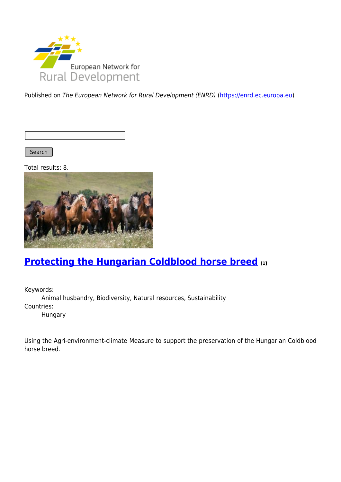

Published on The European Network for Rural Development (ENRD) [\(https://enrd.ec.europa.eu](https://enrd.ec.europa.eu))

Search |

Total results: 8.



## **[Protecting the Hungarian Coldblood horse breed](https://enrd.ec.europa.eu/projects-practice/protecting-hungarian-coldblood-horse-breed_en) [1]**

Keywords: Animal husbandry, Biodiversity, Natural resources, Sustainability Countries: Hungary

Using the Agri-environment-climate Measure to support the preservation of the Hungarian Coldblood horse breed.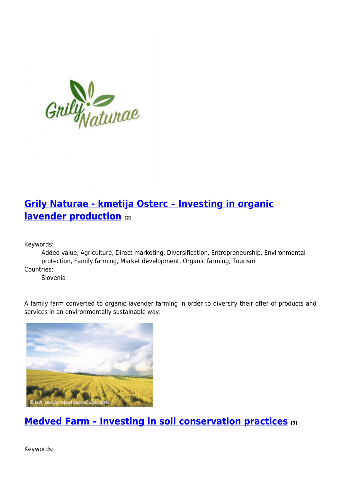

## **[Grily Naturae - kmetija Osterc – Investing in organic](https://enrd.ec.europa.eu/projects-practice/grily-naturae-kmetija-osterc-investing-organic-lavender-production_en) [lavender production](https://enrd.ec.europa.eu/projects-practice/grily-naturae-kmetija-osterc-investing-organic-lavender-production_en) [2]**

Keywords:

Added value, Agriculture, Direct marketing, Diversification, Entrepreneurship, Environmental protection, Family farming, Market development, Organic farming, Tourism

Countries:

Slovenia

A family farm converted to organic lavender farming in order to diversify their offer of products and services in an environmentally sustainable way.



**[Medved Farm – Investing in soil conservation practices](https://enrd.ec.europa.eu/projects-practice/medved-farm-investing-soil-conservation-practices_en) [3]**

Keywords: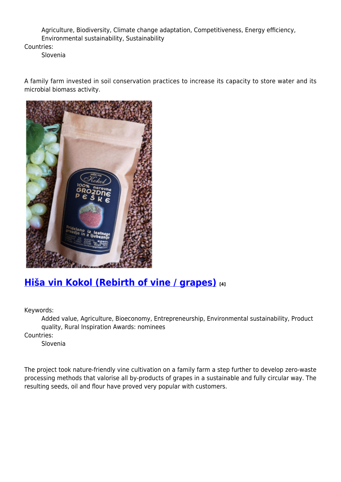Agriculture, Biodiversity, Climate change adaptation, Competitiveness, Energy efficiency, Environmental sustainability, Sustainability

Countries:

Slovenia

A family farm invested in soil conservation practices to increase its capacity to store water and its microbial biomass activity.



### **[Hiša vin Kokol \(Rebirth of vine / grapes\)](https://enrd.ec.europa.eu/projects-practice/hisa-vin-kokol-rebirth-vine-grapes_en) [4]**

Keywords:

Added value, Agriculture, Bioeconomy, Entrepreneurship, Environmental sustainability, Product quality, Rural Inspiration Awards: nominees

Countries:

Slovenia

The project took nature-friendly vine cultivation on a family farm a step further to develop zero-waste processing methods that valorise all by-products of grapes in a sustainable and fully circular way. The resulting seeds, oil and flour have proved very popular with customers.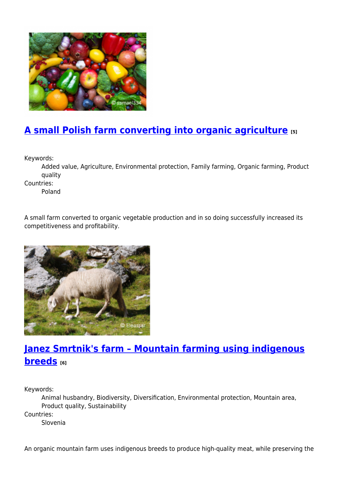

# **[A small Polish farm converting into organic agriculture](https://enrd.ec.europa.eu/projects-practice/small-polish-farm-converting-organic-agriculture_en) [5]**

Keywords:

Added value, Agriculture, Environmental protection, Family farming, Organic farming, Product quality

Countries:

Poland

A small farm converted to organic vegetable production and in so doing successfully increased its competitiveness and profitability.



## **[Janez Smrtnik's farm – Mountain farming using indigenous](https://enrd.ec.europa.eu/projects-practice/janez-smrtniks-farm-mountain-farming-using-indigenous-breeds_en) [breeds](https://enrd.ec.europa.eu/projects-practice/janez-smrtniks-farm-mountain-farming-using-indigenous-breeds_en) [6]**

Keywords:

Animal husbandry, Biodiversity, Diversification, Environmental protection, Mountain area, Product quality, Sustainability Countries: Slovenia

An organic mountain farm uses indigenous breeds to produce high-quality meat, while preserving the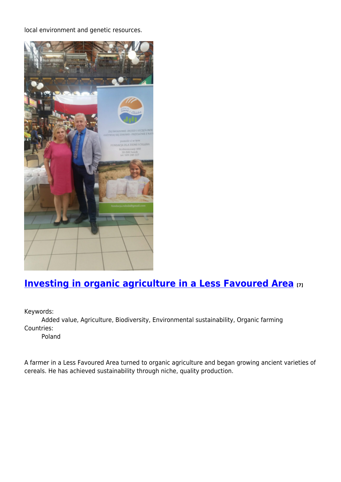local environment and genetic resources.



# **[Investing in organic agriculture in a Less Favoured Area](https://enrd.ec.europa.eu/projects-practice/investing-organic-agriculture-less-favoured-area_en) [7]**

Keywords:

Added value, Agriculture, Biodiversity, Environmental sustainability, Organic farming Countries:

Poland

A farmer in a Less Favoured Area turned to organic agriculture and began growing ancient varieties of cereals. He has achieved sustainability through niche, quality production.